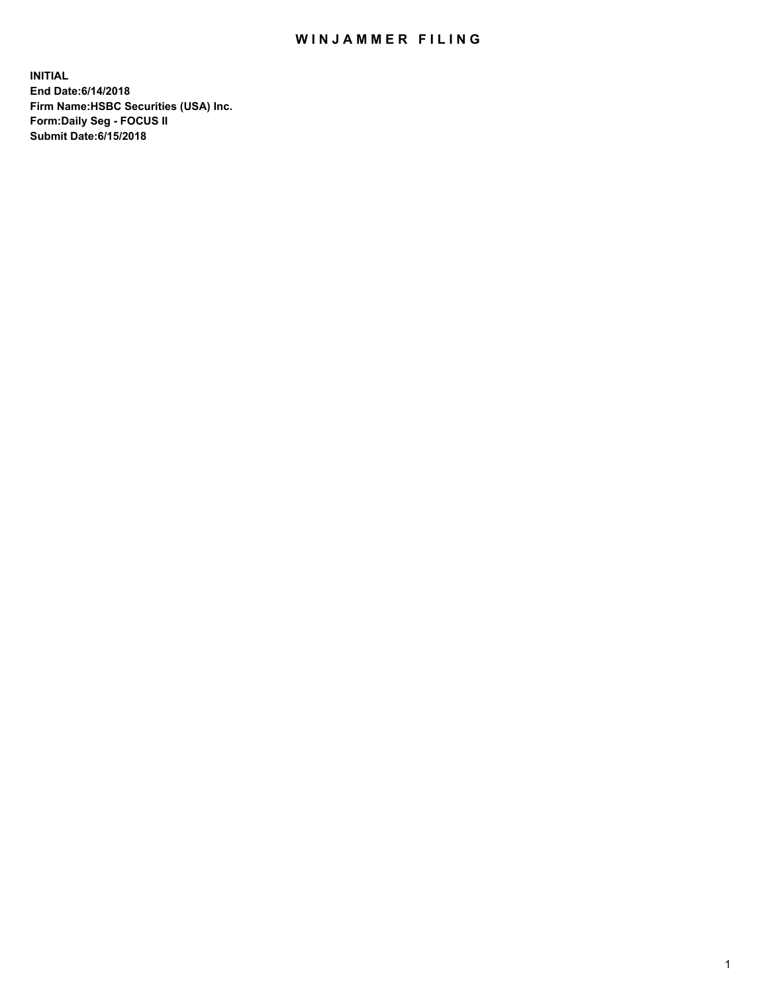## WIN JAMMER FILING

**INITIAL End Date:6/14/2018 Firm Name:HSBC Securities (USA) Inc. Form:Daily Seg - FOCUS II Submit Date:6/15/2018**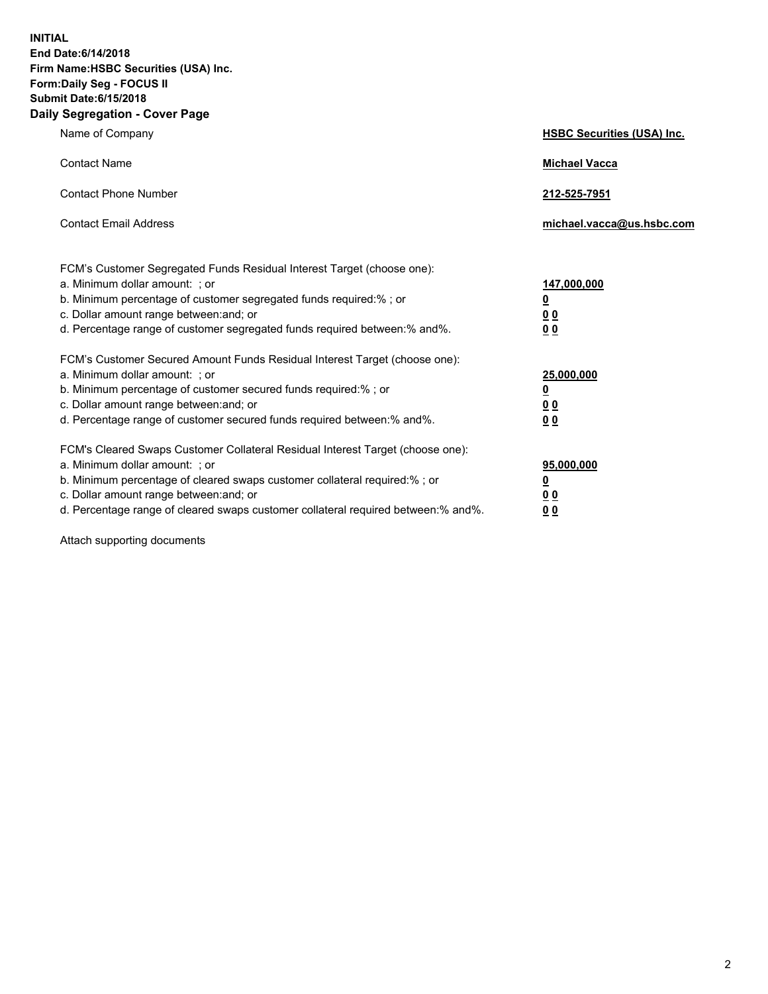**INITIAL End Date:6/14/2018 Firm Name:HSBC Securities (USA) Inc. Form:Daily Seg - FOCUS II Submit Date:6/15/2018 Daily Segregation - Cover Page**

| Name of Company                                                                                                                                                                                                                                                                                                                | <b>HSBC Securities (USA) Inc.</b>                          |
|--------------------------------------------------------------------------------------------------------------------------------------------------------------------------------------------------------------------------------------------------------------------------------------------------------------------------------|------------------------------------------------------------|
| <b>Contact Name</b>                                                                                                                                                                                                                                                                                                            | <b>Michael Vacca</b>                                       |
| <b>Contact Phone Number</b>                                                                                                                                                                                                                                                                                                    | 212-525-7951                                               |
| <b>Contact Email Address</b>                                                                                                                                                                                                                                                                                                   | michael.vacca@us.hsbc.com                                  |
| FCM's Customer Segregated Funds Residual Interest Target (choose one):<br>a. Minimum dollar amount: ; or<br>b. Minimum percentage of customer segregated funds required:% ; or<br>c. Dollar amount range between: and; or<br>d. Percentage range of customer segregated funds required between:% and%.                         | 147,000,000<br>₫<br>0 <sub>0</sub><br>0 <sub>0</sub>       |
| FCM's Customer Secured Amount Funds Residual Interest Target (choose one):<br>a. Minimum dollar amount: ; or<br>b. Minimum percentage of customer secured funds required:% ; or<br>c. Dollar amount range between: and; or<br>d. Percentage range of customer secured funds required between: % and %.                         | 25,000,000<br><u>0</u><br>0 <sub>0</sub><br>0 <sub>0</sub> |
| FCM's Cleared Swaps Customer Collateral Residual Interest Target (choose one):<br>a. Minimum dollar amount: ; or<br>b. Minimum percentage of cleared swaps customer collateral required:% ; or<br>c. Dollar amount range between: and; or<br>d. Percentage range of cleared swaps customer collateral required between:% and%. | 95,000,000<br><u>0</u><br><u>00</u><br>00                  |

Attach supporting documents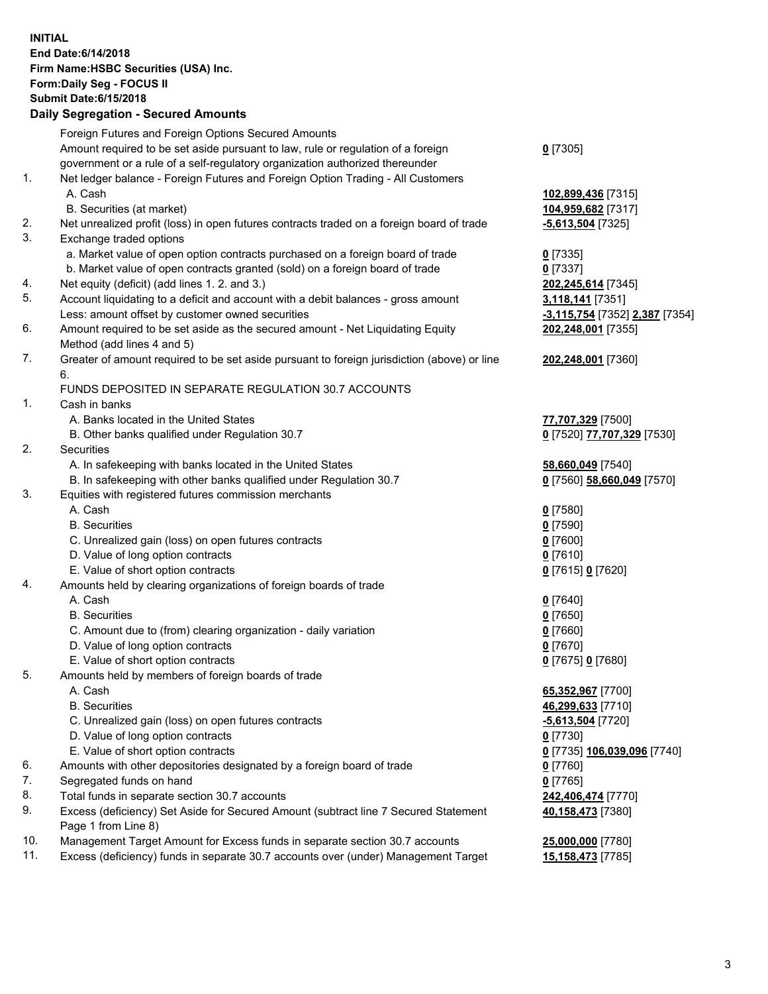**INITIAL End Date:6/14/2018 Firm Name:HSBC Securities (USA) Inc. Form:Daily Seg - FOCUS II Submit Date:6/15/2018 Daily Segregation - Secured Amounts**

Foreign Futures and Foreign Options Secured Amounts Amount required to be set aside pursuant to law, rule or regulation of a foreign government or a rule of a self-regulatory organization authorized thereunder **0** [7305] 1. Net ledger balance - Foreign Futures and Foreign Option Trading - All Customers A. Cash **102,899,436** [7315] B. Securities (at market) **104,959,682** [7317] 2. Net unrealized profit (loss) in open futures contracts traded on a foreign board of trade **-5,613,504** [7325] 3. Exchange traded options a. Market value of open option contracts purchased on a foreign board of trade **0** [7335] b. Market value of open contracts granted (sold) on a foreign board of trade **0** [7337] 4. Net equity (deficit) (add lines 1. 2. and 3.) **202,245,614** [7345] 5. Account liquidating to a deficit and account with a debit balances - gross amount **3,118,141** [7351] Less: amount offset by customer owned securities **-3,115,754** [7352] **2,387** [7354] 6. Amount required to be set aside as the secured amount - Net Liquidating Equity Method (add lines 4 and 5) **202,248,001** [7355] 7. Greater of amount required to be set aside pursuant to foreign jurisdiction (above) or line 6. **202,248,001** [7360] FUNDS DEPOSITED IN SEPARATE REGULATION 30.7 ACCOUNTS 1. Cash in banks A. Banks located in the United States **77,707,329** [7500] B. Other banks qualified under Regulation 30.7 **0** [7520] **77,707,329** [7530] 2. Securities A. In safekeeping with banks located in the United States **58,660,049** [7540] B. In safekeeping with other banks qualified under Regulation 30.7 **0** [7560] **58,660,049** [7570] 3. Equities with registered futures commission merchants A. Cash **0** [7580] B. Securities **0** [7590] C. Unrealized gain (loss) on open futures contracts **0** [7600] D. Value of long option contracts **0** [7610] E. Value of short option contracts **0** [7615] **0** [7620] 4. Amounts held by clearing organizations of foreign boards of trade A. Cash **0** [7640] B. Securities **0** [7650] C. Amount due to (from) clearing organization - daily variation **0** [7660] D. Value of long option contracts **0** [7670] E. Value of short option contracts **0** [7675] **0** [7680] 5. Amounts held by members of foreign boards of trade A. Cash **65,352,967** [7700] B. Securities **46,299,633** [7710] C. Unrealized gain (loss) on open futures contracts **-5,613,504** [7720] D. Value of long option contracts **0** [7730] E. Value of short option contracts **0** [7735] **106,039,096** [7740] 6. Amounts with other depositories designated by a foreign board of trade **0** [7760] 7. Segregated funds on hand **0** [7765] 8. Total funds in separate section 30.7 accounts **242,406,474** [7770] 9. Excess (deficiency) Set Aside for Secured Amount (subtract line 7 Secured Statement Page 1 from Line 8) **40,158,473** [7380] 10. Management Target Amount for Excess funds in separate section 30.7 accounts **25,000,000** [7780]

11. Excess (deficiency) funds in separate 30.7 accounts over (under) Management Target **15,158,473** [7785]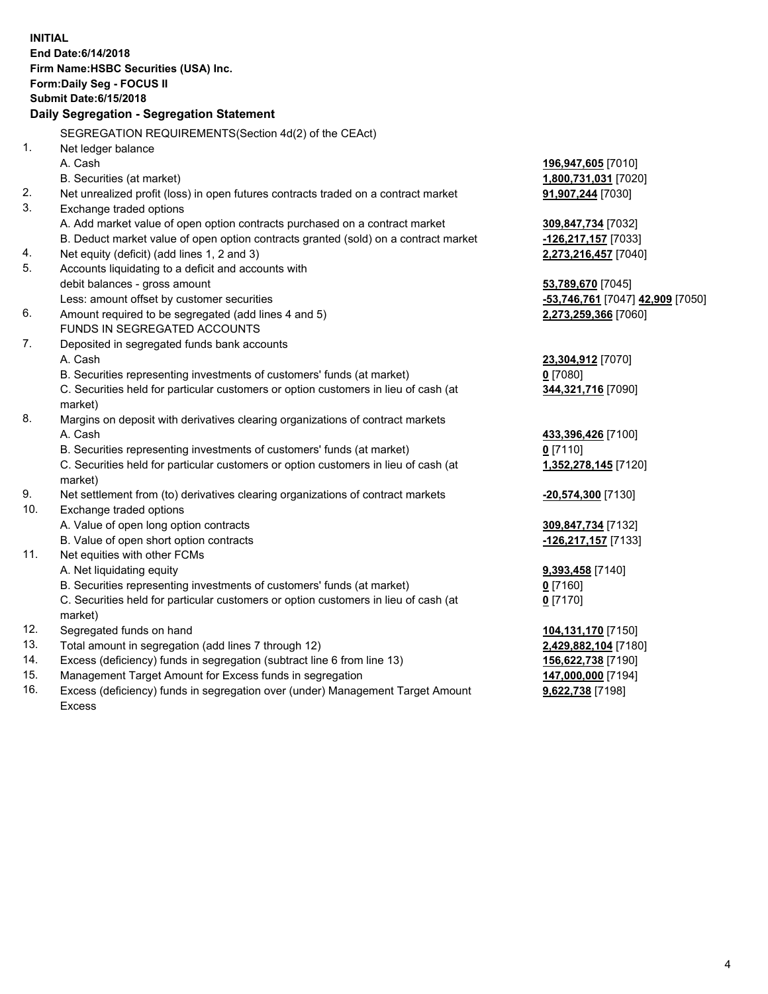|     | <b>INITIAL</b><br>End Date: 6/14/2018<br>Firm Name: HSBC Securities (USA) Inc.<br><b>Form:Daily Seg - FOCUS II</b><br><b>Submit Date: 6/15/2018</b><br>Daily Segregation - Segregation Statement |                                                            |
|-----|--------------------------------------------------------------------------------------------------------------------------------------------------------------------------------------------------|------------------------------------------------------------|
|     |                                                                                                                                                                                                  |                                                            |
|     | SEGREGATION REQUIREMENTS (Section 4d(2) of the CEAct)                                                                                                                                            |                                                            |
| 1.  | Net ledger balance                                                                                                                                                                               |                                                            |
|     | A. Cash                                                                                                                                                                                          | 196,947,605 [7010]                                         |
|     | B. Securities (at market)                                                                                                                                                                        | 1,800,731,031 [7020]                                       |
| 2.  | Net unrealized profit (loss) in open futures contracts traded on a contract market                                                                                                               | 91,907,244 [7030]                                          |
| 3.  | Exchange traded options                                                                                                                                                                          |                                                            |
|     | A. Add market value of open option contracts purchased on a contract market                                                                                                                      | 309,847,734 [7032]                                         |
|     | B. Deduct market value of open option contracts granted (sold) on a contract market                                                                                                              | <u>-126,217,157</u> [7033]                                 |
| 4.  | Net equity (deficit) (add lines 1, 2 and 3)                                                                                                                                                      | 2,273,216,457 [7040]                                       |
| 5.  | Accounts liquidating to a deficit and accounts with                                                                                                                                              |                                                            |
|     | debit balances - gross amount                                                                                                                                                                    | 53,789,670 [7045]                                          |
|     | Less: amount offset by customer securities                                                                                                                                                       | <mark>-53,746,761</mark> [7047] <mark>42,909</mark> [7050] |
| 6.  | Amount required to be segregated (add lines 4 and 5)                                                                                                                                             | 2,273,259,366 [7060]                                       |
| 7.  | FUNDS IN SEGREGATED ACCOUNTS                                                                                                                                                                     |                                                            |
|     | Deposited in segregated funds bank accounts                                                                                                                                                      |                                                            |
|     | A. Cash                                                                                                                                                                                          | 23,304,912 [7070]                                          |
|     | B. Securities representing investments of customers' funds (at market)<br>C. Securities held for particular customers or option customers in lieu of cash (at                                    | $0$ [7080]                                                 |
|     | market)                                                                                                                                                                                          | 344,321,716 [7090]                                         |
| 8.  | Margins on deposit with derivatives clearing organizations of contract markets                                                                                                                   |                                                            |
|     | A. Cash                                                                                                                                                                                          | 433,396,426 [7100]                                         |
|     | B. Securities representing investments of customers' funds (at market)                                                                                                                           | 0[7110]                                                    |
|     | C. Securities held for particular customers or option customers in lieu of cash (at                                                                                                              | 1,352,278,145 [7120]                                       |
|     | market)                                                                                                                                                                                          |                                                            |
| 9.  | Net settlement from (to) derivatives clearing organizations of contract markets                                                                                                                  | <u>-20,574,300</u> [7130]                                  |
| 10. | Exchange traded options                                                                                                                                                                          |                                                            |
|     | A. Value of open long option contracts                                                                                                                                                           | 309,847,734 [7132]                                         |
|     | B. Value of open short option contracts                                                                                                                                                          | -126,217,157 [7133]                                        |
| 11. | Net equities with other FCMs                                                                                                                                                                     |                                                            |
|     | A. Net liquidating equity                                                                                                                                                                        | 9,393,458 [7140]                                           |
|     | B. Securities representing investments of customers' funds (at market)                                                                                                                           | $0$ [7160]                                                 |
|     | C. Securities held for particular customers or option customers in lieu of cash (at                                                                                                              | $0$ [7170]                                                 |
|     | market)                                                                                                                                                                                          |                                                            |
| 12. | Segregated funds on hand                                                                                                                                                                         | 104,131,170 [7150]                                         |
| 13. | Total amount in segregation (add lines 7 through 12)                                                                                                                                             | 2,429,882,104 [7180]                                       |
| 14. | Excess (deficiency) funds in segregation (subtract line 6 from line 13)                                                                                                                          | 156,622,738 [7190]                                         |
| 15. | Management Target Amount for Excess funds in segregation                                                                                                                                         | 147,000,000 [7194]                                         |

16. Excess (deficiency) funds in segregation over (under) Management Target Amount Excess

**9,622,738** [7198]